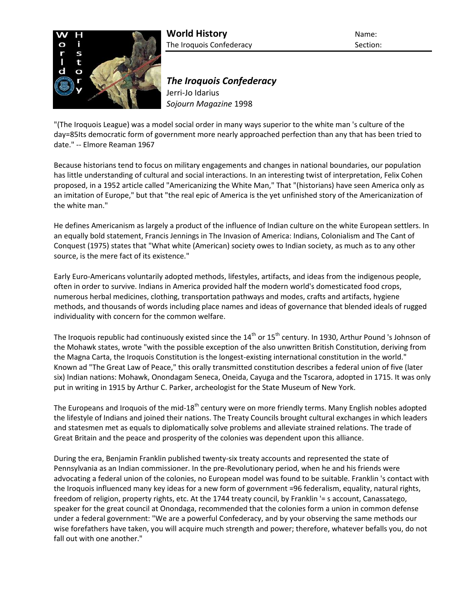

*The Iroquois Confederacy* Jerri-Jo Idarius

*Sojourn Magazine* 1998

"(The Iroquois League) was a model social order in many ways superior to the white man 's culture of the day=85Its democratic form of government more nearly approached perfection than any that has been tried to date." -- Elmore Reaman 1967

Because historians tend to focus on military engagements and changes in national boundaries, our population has little understanding of cultural and social interactions. In an interesting twist of interpretation, Felix Cohen proposed, in a 1952 article called "Americanizing the White Man," That "(historians) have seen America only as an imitation of Europe," but that "the real epic of America is the yet unfinished story of the Americanization of the white man."

He defines Americanism as largely a product of the influence of Indian culture on the white European settlers. In an equally bold statement, Francis Jennings in The Invasion of America: Indians, Colonialism and The Cant of Conquest (1975) states that "What white (American) society owes to Indian society, as much as to any other source, is the mere fact of its existence."

Early Euro-Americans voluntarily adopted methods, lifestyles, artifacts, and ideas from the indigenous people, often in order to survive. Indians in America provided half the modern world's domesticated food crops, numerous herbal medicines, clothing, transportation pathways and modes, crafts and artifacts, hygiene methods, and thousands of words including place names and ideas of governance that blended ideals of rugged individuality with concern for the common welfare.

The Iroquois republic had continuously existed since the  $14^{th}$  or  $15^{th}$  century. In 1930, Arthur Pound 's Johnson of the Mohawk states, wrote "with the possible exception of the also unwritten British Constitution, deriving from the Magna Carta, the Iroquois Constitution is the longest-existing international constitution in the world." Known ad "The Great Law of Peace," this orally transmitted constitution describes a federal union of five (later six) Indian nations: Mohawk, Onondagam Seneca, Oneida, Cayuga and the Tscarora, adopted in 1715. It was only put in writing in 1915 by Arthur C. Parker, archeologist for the State Museum of New York.

The Europeans and Iroquois of the mid-18<sup>th</sup> century were on more friendly terms. Many English nobles adopted the lifestyle of Indians and joined their nations. The Treaty Councils brought cultural exchanges in which leaders and statesmen met as equals to diplomatically solve problems and alleviate strained relations. The trade of Great Britain and the peace and prosperity of the colonies was dependent upon this alliance.

During the era, Benjamin Franklin published twenty-six treaty accounts and represented the state of Pennsylvania as an Indian commissioner. In the pre-Revolutionary period, when he and his friends were advocating a federal union of the colonies, no European model was found to be suitable. Franklin 's contact with the Iroquois influenced many key ideas for a new form of government =96 federalism, equality, natural rights, freedom of religion, property rights, etc. At the 1744 treaty council, by Franklin '= s account, Canassatego, speaker for the great council at Onondaga, recommended that the colonies form a union in common defense under a federal government: "We are a powerful Confederacy, and by your observing the same methods our wise forefathers have taken, you will acquire much strength and power; therefore, whatever befalls you, do not fall out with one another."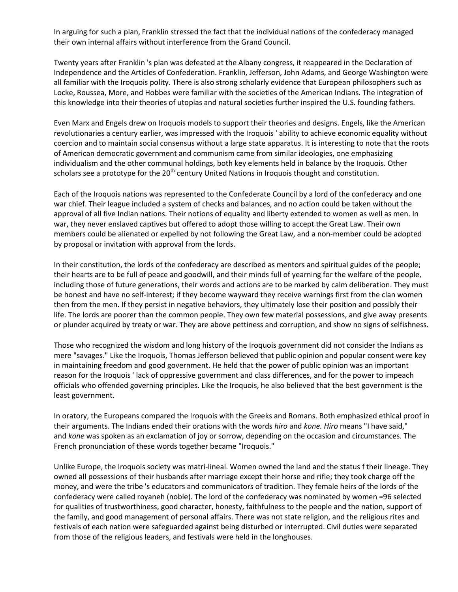In arguing for such a plan, Franklin stressed the fact that the individual nations of the confederacy managed their own internal affairs without interference from the Grand Council.

Twenty years after Franklin 's plan was defeated at the Albany congress, it reappeared in the Declaration of Independence and the Articles of Confederation. Franklin, Jefferson, John Adams, and George Washington were all familiar with the Iroquois polity. There is also strong scholarly evidence that European philosophers such as Locke, Roussea, More, and Hobbes were familiar with the societies of the American Indians. The integration of this knowledge into their theories of utopias and natural societies further inspired the U.S. founding fathers.

Even Marx and Engels drew on Iroquois models to support their theories and designs. Engels, like the American revolutionaries a century earlier, was impressed with the Iroquois ' ability to achieve economic equality without coercion and to maintain social consensus without a large state apparatus. It is interesting to note that the roots of American democratic government and communism came from similar ideologies, one emphasizing individualism and the other communal holdings, both key elements held in balance by the Iroquois. Other scholars see a prototype for the  $20<sup>th</sup>$  century United Nations in Iroquois thought and constitution.

Each of the Iroquois nations was represented to the Confederate Council by a lord of the confederacy and one war chief. Their league included a system of checks and balances, and no action could be taken without the approval of all five Indian nations. Their notions of equality and liberty extended to women as well as men. In war, they never enslaved captives but offered to adopt those willing to accept the Great Law. Their own members could be alienated or expelled by not following the Great Law, and a non-member could be adopted by proposal or invitation with approval from the lords.

In their constitution, the lords of the confederacy are described as mentors and spiritual guides of the people; their hearts are to be full of peace and goodwill, and their minds full of yearning for the welfare of the people, including those of future generations, their words and actions are to be marked by calm deliberation. They must be honest and have no self-interest; if they become wayward they receive warnings first from the clan women then from the men. If they persist in negative behaviors, they ultimately lose their position and possibly their life. The lords are poorer than the common people. They own few material possessions, and give away presents or plunder acquired by treaty or war. They are above pettiness and corruption, and show no signs of selfishness.

Those who recognized the wisdom and long history of the Iroquois government did not consider the Indians as mere "savages." Like the Iroquois, Thomas Jefferson believed that public opinion and popular consent were key in maintaining freedom and good government. He held that the power of public opinion was an important reason for the Iroquois ' lack of oppressive government and class differences, and for the power to impeach officials who offended governing principles. Like the Iroquois, he also believed that the best government is the least government.

In oratory, the Europeans compared the Iroquois with the Greeks and Romans. Both emphasized ethical proof in their arguments. The Indians ended their orations with the words *hiro* and *kone. Hiro* means "I have said," and *kone* was spoken as an exclamation of joy or sorrow, depending on the occasion and circumstances. The French pronunciation of these words together became "Iroquois."

Unlike Europe, the Iroquois society was matri-lineal. Women owned the land and the status f their lineage. They owned all possessions of their husbands after marriage except their horse and rifle; they took charge off the money, and were the tribe 's educators and communicators of tradition. They female heirs of the lords of the confederacy were called royaneh (noble). The lord of the confederacy was nominated by women =96 selected for qualities of trustworthiness, good character, honesty, faithfulness to the people and the nation, support of the family, and good management of personal affairs. There was not state religion, and the religious rites and festivals of each nation were safeguarded against being disturbed or interrupted. Civil duties were separated from those of the religious leaders, and festivals were held in the longhouses.